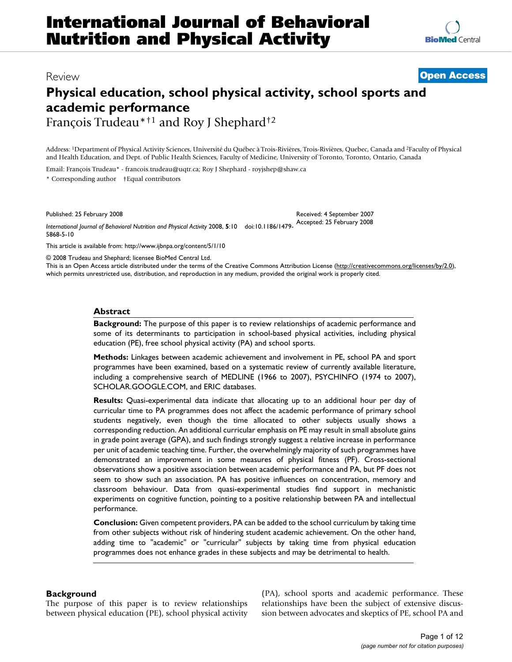# Review **[Open Access](http://www.biomedcentral.com/info/about/charter/)**

# **Physical education, school physical activity, school sports and academic performance**

François Trudeau\*†1 and Roy J Shephard†2

Address: 1Department of Physical Activity Sciences, Université du Québec à Trois-Rivières, Trois-Rivières, Quebec, Canada and 2Faculty of Physical and Health Education, and Dept. of Public Health Sciences, Faculty of Medicine, University of Toronto, Toronto, Ontario, Canada

Received: 4 September 2007

Email: François Trudeau\* - francois.trudeau@uqtr.ca; Roy J Shephard - royjshep@shaw.ca \* Corresponding author †Equal contributors

Published: 25 February 2008

*International Journal of Behavioral Nutrition and Physical Activity* 2008, **5**:10 doi:10.1186/1479- Accepted: 25 February 2008 5868-5-10

[This article is available from: http://www.ijbnpa.org/content/5/1/10](http://www.ijbnpa.org/content/5/1/10)

© 2008 Trudeau and Shephard; licensee BioMed Central Ltd.

This is an Open Access article distributed under the terms of the Creative Commons Attribution License [\(http://creativecommons.org/licenses/by/2.0\)](http://creativecommons.org/licenses/by/2.0), which permits unrestricted use, distribution, and reproduction in any medium, provided the original work is properly cited.

## **Abstract**

**Background:** The purpose of this paper is to review relationships of academic performance and some of its determinants to participation in school-based physical activities, including physical education (PE), free school physical activity (PA) and school sports.

**Methods:** Linkages between academic achievement and involvement in PE, school PA and sport programmes have been examined, based on a systematic review of currently available literature, including a comprehensive search of MEDLINE (1966 to 2007), PSYCHINFO (1974 to 2007), SCHOLAR.GOOGLE.COM, and ERIC databases.

**Results:** Quasi-experimental data indicate that allocating up to an additional hour per day of curricular time to PA programmes does not affect the academic performance of primary school students negatively, even though the time allocated to other subjects usually shows a corresponding reduction. An additional curricular emphasis on PE may result in small absolute gains in grade point average (GPA), and such findings strongly suggest a relative increase in performance per unit of academic teaching time. Further, the overwhelmingly majority of such programmes have demonstrated an improvement in some measures of physical fitness (PF). Cross-sectional observations show a positive association between academic performance and PA, but PF does not seem to show such an association. PA has positive influences on concentration, memory and classroom behaviour. Data from quasi-experimental studies find support in mechanistic experiments on cognitive function, pointing to a positive relationship between PA and intellectual performance.

**Conclusion:** Given competent providers, PA can be added to the school curriculum by taking time from other subjects without risk of hindering student academic achievement. On the other hand, adding time to "academic" or "curricular" subjects by taking time from physical education programmes does not enhance grades in these subjects and may be detrimental to health.

# **Background**

The purpose of this paper is to review relationships between physical education (PE), school physical activity (PA), school sports and academic performance. These relationships have been the subject of extensive discussion between advocates and skeptics of PE, school PA and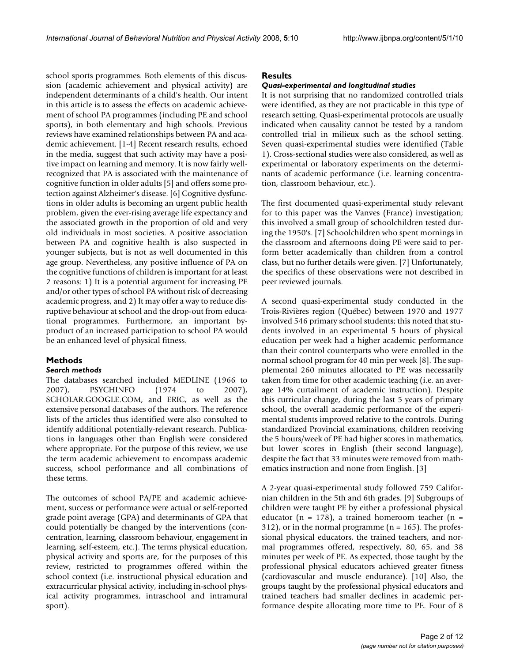school sports programmes. Both elements of this discussion (academic achievement and physical activity) are independent determinants of a child's health. Our intent in this article is to assess the effects on academic achievement of school PA programmes (including PE and school sports), in both elementary and high schools. Previous reviews have examined relationships between PA and academic achievement. [1-4] Recent research results, echoed in the media, suggest that such activity may have a positive impact on learning and memory. It is now fairly wellrecognized that PA is associated with the maintenance of cognitive function in older adults [5] and offers some protection against Alzheimer's disease. [6] Cognitive dysfunctions in older adults is becoming an urgent public health problem, given the ever-rising average life expectancy and the associated growth in the proportion of old and very old individuals in most societies. A positive association between PA and cognitive health is also suspected in younger subjects, but is not as well documented in this age group. Nevertheless, any positive influence of PA on the cognitive functions of children is important for at least 2 reasons: 1) It is a potential argument for increasing PE and/or other types of school PA without risk of decreasing academic progress, and 2) It may offer a way to reduce disruptive behaviour at school and the drop-out from educational programmes. Furthermore, an important byproduct of an increased participation to school PA would be an enhanced level of physical fitness.

#### **Methods** *Search methods*

The databases searched included MEDLINE (1966 to 2007), PSYCHINFO (1974 to 2007), SCHOLAR.GOOGLE.COM, and ERIC, as well as the extensive personal databases of the authors. The reference lists of the articles thus identified were also consulted to identify additional potentially-relevant research. Publications in languages other than English were considered where appropriate. For the purpose of this review, we use the term academic achievement to encompass academic success, school performance and all combinations of these terms.

The outcomes of school PA/PE and academic achievement, success or performance were actual or self-reported grade point average (GPA) and determinants of GPA that could potentially be changed by the interventions (concentration, learning, classroom behaviour, engagement in learning, self-esteem, etc.). The terms physical education, physical activity and sports are, for the purposes of this review, restricted to programmes offered within the school context (i.e. instructional physical education and extracurricular physical activity, including in-school physical activity programmes, intraschool and intramural sport).

# **Results**

# *Quasi-experimental and longitudinal studies*

It is not surprising that no randomized controlled trials were identified, as they are not practicable in this type of research setting. Quasi-experimental protocols are usually indicated when causality cannot be tested by a random controlled trial in milieux such as the school setting. Seven quasi-experimental studies were identified (Table 1). Cross-sectional studies were also considered, as well as experimental or laboratory experiments on the determinants of academic performance (i.e. learning concentration, classroom behaviour, etc.).

The first documented quasi-experimental study relevant for to this paper was the Vanves (France) investigation; this involved a small group of schoolchildren tested during the 1950's. [7] Schoolchildren who spent mornings in the classroom and afternoons doing PE were said to perform better academically than children from a control class, but no further details were given. [7] Unfortunately, the specifics of these observations were not described in peer reviewed journals.

A second quasi-experimental study conducted in the Trois-Rivières region (Québec) between 1970 and 1977 involved 546 primary school students; this noted that students involved in an experimental 5 hours of physical education per week had a higher academic performance than their control counterparts who were enrolled in the normal school program for 40 min per week [8]. The supplemental 260 minutes allocated to PE was necessarily taken from time for other academic teaching (i.e. an average 14% curtailment of academic instruction). Despite this curricular change, during the last 5 years of primary school, the overall academic performance of the experimental students improved relative to the controls. During standardized Provincial examinations, children receiving the 5 hours/week of PE had higher scores in mathematics, but lower scores in English (their second language), despite the fact that 33 minutes were removed from mathematics instruction and none from English. [3]

A 2-year quasi-experimental study followed 759 Californian children in the 5th and 6th grades. [9] Subgroups of children were taught PE by either a professional physical educator (n = 178), a trained homeroom teacher (n = 312), or in the normal programme ( $n = 165$ ). The professional physical educators, the trained teachers, and normal programmes offered, respectively, 80, 65, and 38 minutes per week of PE. As expected, those taught by the professional physical educators achieved greater fitness (cardiovascular and muscle endurance). [10] Also, the groups taught by the professional physical educators and trained teachers had smaller declines in academic performance despite allocating more time to PE. Four of 8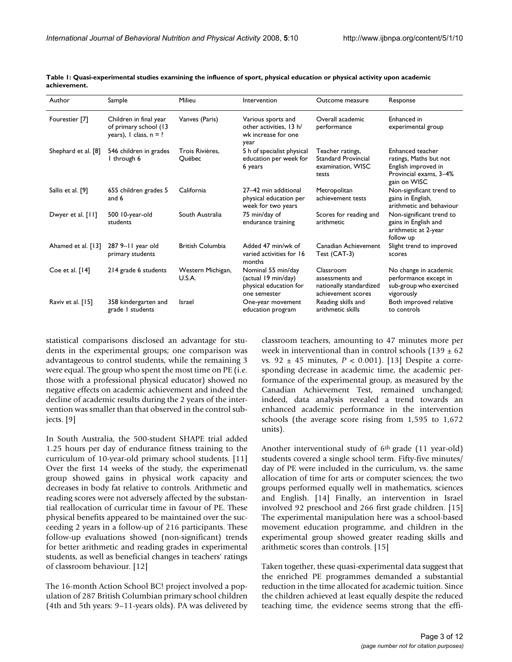| Author              | Sample                                                                        | Milieu                      | Intervention                                                                        | Outcome measure                                                               | Response                                                                                                    |
|---------------------|-------------------------------------------------------------------------------|-----------------------------|-------------------------------------------------------------------------------------|-------------------------------------------------------------------------------|-------------------------------------------------------------------------------------------------------------|
| Fourestier [7]      | Children in final year<br>of primary school (13<br>years), $l$ class, $n = ?$ | Vanves (Paris)              | Various sports and<br>other activities, 13 h/<br>wk increase for one<br>year        | Overall academic<br>performance                                               | Enhanced in<br>experimental group                                                                           |
| Shephard et al. [8] | 546 children in grades<br>I through 6                                         | Trois Rivières.<br>Québec   | 5 h of specialist physical<br>education per week for<br>6 years                     | Teacher ratings,<br><b>Standard Provincial</b><br>examination, WISC<br>tests  | Enhanced teacher<br>ratings, Maths but not<br>English improved in<br>Provincial exams, 3-4%<br>gain on WISC |
| Sallis et al. [9]   | 655 children grades 5<br>and 6                                                | California                  | 27-42 min additional<br>physical education per<br>week for two years                | Metropolitan<br>achievement tests                                             | Non-significant trend to<br>gains in English,<br>arithmetic and behaviour                                   |
| Dwyer et al. [11]   | 500 10-year-old<br>students                                                   | South Australia             | 75 min/day of<br>endurance training                                                 | Scores for reading and<br>arithmetic                                          | Non-significant trend to<br>gains in English and<br>arithmetic at 2-year<br>follow up                       |
| Ahamed et al. [13]  | 287 9-11 year old<br>primary students                                         | <b>British Columbia</b>     | Added 47 min/wk of<br>varied activities for 16<br>months                            | Canadian Achievement<br>Test (CAT-3)                                          | Slight trend to improved<br>scores                                                                          |
| Coe et al. $[14]$   | 214 grade 6 students                                                          | Western Michigan,<br>U.S.A. | Nominal 55 min/day<br>(actual 19 min/day)<br>physical education for<br>one semester | Classroom<br>assessments and<br>nationally standardized<br>achievement scores | No change in academic<br>performance except in<br>sub-group who exercised<br>vigorously                     |
| Raviv et al. [15]   | 358 kindergarten and<br>grade I students                                      | Israel                      | One-year movement<br>education program                                              | Reading skills and<br>arithmetic skills                                       | Both improved relative<br>to controls                                                                       |

**Table 1: Quasi-experimental studies examining the influence of sport, physical education or physical activity upon academic achievement.**

statistical comparisons disclosed an advantage for students in the experimental groups; one comparison was advantageous to control students, while the remaining 3 were equal. The group who spent the most time on PE (i.e. those with a professional physical educator) showed no negative effects on academic achievement and indeed the decline of academic results during the 2 years of the intervention was smaller than that observed in the control subjects. [9]

In South Australia, the 500-student SHAPE trial added 1.25 hours per day of endurance fitness training to the curriculum of 10-year-old primary school students. [11] Over the first 14 weeks of the study, the experimenatl group showed gains in physical work capacity and decreases in body fat relative to controls. Arithmetic and reading scores were not adversely affected by the substantial reallocation of curricular time in favour of PE. These physical benefits appeared to be maintained over the succeeding 2 years in a follow-up of 216 participants. These follow-up evaluations showed (non-significant) trends for better arithmetic and reading grades in experimental students, as well as beneficial changes in teachers' ratings of classroom behaviour. [12]

The 16-month Action School BC! project involved a population of 287 British Columbian primary school children (4th and 5th years: 9–11-years olds). PA was delivered by classroom teachers, amounting to 47 minutes more per week in interventional than in control schools  $(139 \pm 62)$ vs. 92 ± 45 minutes, *P* < 0.001). [13] Despite a corresponding decrease in academic time, the academic performance of the experimental group, as measured by the Canadian Achievement Test, remained unchanged; indeed, data analysis revealed a trend towards an enhanced academic performance in the intervention schools (the average score rising from 1,595 to 1,672 units).

Another interventional study of 6th grade (11 year-old) students covered a single school term. Fifty-five minutes/ day of PE were included in the curriculum, vs. the same allocation of time for arts or computer sciences; the two groups performed equally well in mathematics, sciences and English. [14] Finally, an intervention in Israel involved 92 preschool and 266 first grade children. [15] The experimental manipulation here was a school-based movement education programme, and children in the experimental group showed greater reading skills and arithmetic scores than controls. [15]

Taken together, these quasi-experimental data suggest that the enriched PE programmes demanded a substantial reduction in the time allocated for academic tuition. Since the children achieved at least equally despite the reduced teaching time, the evidence seems strong that the effi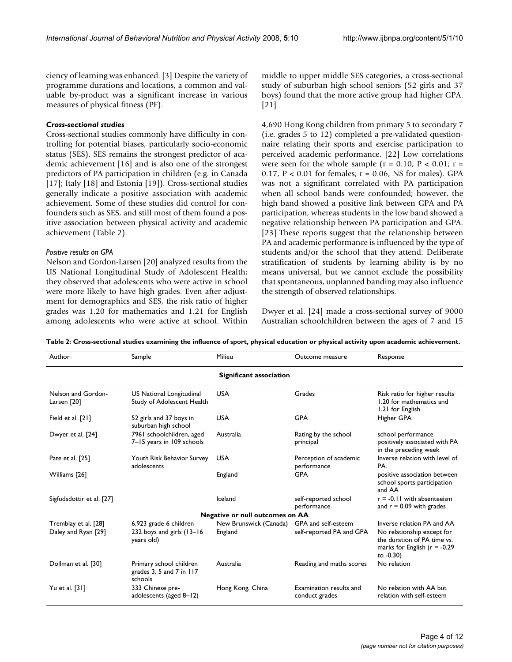ciency of learning was enhanced. [3] Despite the variety of programme durations and locations, a common and valuable by-product was a significant increase in various measures of physical fitness (PF).

# *Cross-sectional studies*

Cross-sectional studies commonly have difficulty in controlling for potential biases, particularly socio-economic status (SES). SES remains the strongest predictor of academic achievement [16] and is also one of the strongest predictors of PA participation in children (e.g. in Canada [17]; Italy [18] and Estonia [19]). Cross-sectional studies generally indicate a positive association with academic achievement. Some of these studies did control for confounders such as SES, and still most of them found a positive association between physical activity and academic achievement (Table 2).

## *Positive results on GPA*

Nelson and Gordon-Larsen [20] analyzed results from the US National Longitudinal Study of Adolescent Health; they observed that adolescents who were active in school were more likely to have high grades. Even after adjustment for demographics and SES, the risk ratio of higher grades was 1.20 for mathematics and 1.21 for English among adolescents who were active at school. Within middle to upper middle SES categories, a cross-sectional study of suburban high school seniors (52 girls and 37 boys) found that the more active group had higher GPA. [21]

4,690 Hong Kong children from primary 5 to secondary 7 (i.e. grades 5 to 12) completed a pre-validated questionnaire relating their sports and exercise participation to perceived academic performance. [22] Low correlations were seen for the whole sample ( $r = 0.10$ ,  $P < 0.01$ ;  $r =$ 0.17,  $P < 0.01$  for females;  $r = 0.06$ , NS for males). GPA was not a significant correlated with PA participation when all school bands were confounded; however, the high band showed a positive link between GPA and PA participation, whereas students in the low band showed a negative relationship between PA participation and GPA. [23] These reports suggest that the relationship between PA and academic performance is influenced by the type of students and/or the school that they attend. Deliberate stratification of students by learning ability is by no means universal, but we cannot exclude the possibility that spontaneous, unplanned banding may also influence the strength of observed relationships.

Dwyer et al. [24] made a cross-sectional survey of 9000 Australian schoolchildren between the ages of 7 and 15

| Author                                 | Sample                                                               | Milieu                 | Outcome measure                           | Response                                                                                                    |  |  |  |  |
|----------------------------------------|----------------------------------------------------------------------|------------------------|-------------------------------------------|-------------------------------------------------------------------------------------------------------------|--|--|--|--|
| Significant association                |                                                                      |                        |                                           |                                                                                                             |  |  |  |  |
| Nelson and Gordon-<br>Larsen [20]      | US National Longitudinal<br>Study of Adolescent Health               | <b>USA</b>             | Grades                                    | Risk ratio for higher results<br>1.20 for mathematics and<br>1.21 for English                               |  |  |  |  |
| Field et al. [21]                      | 52 girls and 37 boys in<br>suburban high school                      | <b>USA</b>             | <b>GPA</b>                                | Higher GPA                                                                                                  |  |  |  |  |
| Dwyer et al. [24]                      | 7961 schoolchildren, aged<br>7-15 years in 109 schools               | Australia              | Rating by the school<br>principal         | school performance<br>positively associated with PA<br>in the preceding week                                |  |  |  |  |
| Pate et al. [25]                       | Youth Risk Behavior Survey<br>adolescents                            | <b>USA</b>             | Perception of academic<br>performance     | Inverse relation with level of<br>PA.                                                                       |  |  |  |  |
| Williams [26]                          |                                                                      | England                | <b>GPA</b>                                | positive association between<br>school sports participation<br>and AA                                       |  |  |  |  |
| Sigfudsdottir et al. [27]              |                                                                      | Iceland                | self-reported school<br>performance       | $r = -0.11$ with absenteeism<br>and $r = 0.09$ with grades                                                  |  |  |  |  |
| <b>Negative or null outcomes on AA</b> |                                                                      |                        |                                           |                                                                                                             |  |  |  |  |
| Tremblay et al. [28]                   | 6,923 grade 6 children                                               | New Brunswick (Canada) | GPA and self-esteem                       | Inverse relation PA and AA                                                                                  |  |  |  |  |
| Daley and Ryan [29]                    | 232 boys and girls (13-16)<br>years old)                             | England                | self-reported PA and GPA                  | No relationship except for<br>the duration of PA time vs.<br>marks for English ( $r = -0.29$ )<br>to -0.30) |  |  |  |  |
| Dollman et al. [30]                    | Primary school children<br>grades $3, 5$ and $7$ in $117$<br>schools | Australia              | Reading and maths scores                  | No relation                                                                                                 |  |  |  |  |
| Yu et al. [31]                         | 333 Chinese pre-<br>adolescents (aged 8-12)                          | Hong Kong, China       | Examination results and<br>conduct grades | No relation with AA but<br>relation with self-esteem                                                        |  |  |  |  |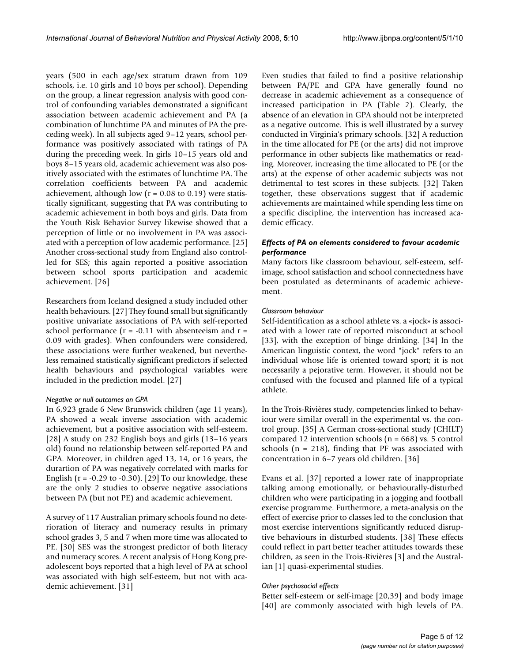years (500 in each age/sex stratum drawn from 109 schools, i.e. 10 girls and 10 boys per school). Depending on the group, a linear regression analysis with good control of confounding variables demonstrated a significant association between academic achievement and PA (a combination of lunchtime PA and minutes of PA the preceding week). In all subjects aged 9–12 years, school performance was positively associated with ratings of PA during the preceding week. In girls 10–15 years old and boys 8–15 years old, academic achievement was also positively associated with the estimates of lunchtime PA. The correlation coefficients between PA and academic achievement, although low ( $r = 0.08$  to 0.19) were statistically significant, suggesting that PA was contributing to academic achievement in both boys and girls. Data from the Youth Risk Behavior Survey likewise showed that a perception of little or no involvement in PA was associated with a perception of low academic performance. [25] Another cross-sectional study from England also controlled for SES; this again reported a positive association between school sports participation and academic achievement. [26]

Researchers from Iceland designed a study included other health behaviours. [27] They found small but significantly positive univariate associations of PA with self-reported school performance ( $r = -0.11$  with absenteeism and  $r =$ 0.09 with grades). When confounders were considered, these associations were further weakened, but nevertheless remained statistically significant predictors if selected health behaviours and psychological variables were included in the prediction model. [27]

#### *Negative or null outcomes on GPA*

In 6,923 grade 6 New Brunswick children (age 11 years), PA showed a weak inverse association with academic achievement, but a positive association with self-esteem. [28] A study on 232 English boys and girls (13–16 years old) found no relationship between self-reported PA and GPA. Moreover, in children aged 13, 14, or 16 years, the durartion of PA was negatively correlated with marks for English ( $r = -0.29$  to  $-0.30$ ). [29] To our knowledge, these are the only 2 studies to observe negative associations between PA (but not PE) and academic achievement.

A survey of 117 Australian primary schools found no deterioration of literacy and numeracy results in primary school grades 3, 5 and 7 when more time was allocated to PE. [30] SES was the strongest predictor of both literacy and numeracy scores. A recent analysis of Hong Kong preadolescent boys reported that a high level of PA at school was associated with high self-esteem, but not with academic achievement. [31]

Even studies that failed to find a positive relationship between PA/PE and GPA have generally found no decrease in academic achievement as a consequence of increased participation in PA (Table 2). Clearly, the absence of an elevation in GPA should not be interpreted as a negative outcome. This is well illustrated by a survey conducted in Virginia's primary schools. [32] A reduction in the time allocated for PE (or the arts) did not improve performance in other subjects like mathematics or reading. Moreover, increasing the time allocated to PE (or the arts) at the expense of other academic subjects was not detrimental to test scores in these subjects. [32] Taken together, these observations suggest that if academic achievements are maintained while spending less time on a specific discipline, the intervention has increased academic efficacy.

# *Effects of PA on elements considered to favour academic performance*

Many factors like classroom behaviour, self-esteem, selfimage, school satisfaction and school connectedness have been postulated as determinants of academic achievement.

## *Classroom behaviour*

Self-identification as a school athlete vs. a «jock» is associated with a lower rate of reported misconduct at school [33], with the exception of binge drinking. [34] In the American linguistic context, the word "jock" refers to an individual whose life is oriented toward sport; it is not necessarily a pejorative term. However, it should not be confused with the focused and planned life of a typical athlete.

In the Trois-Rivières study, competencies linked to behaviour were similar overall in the experimental vs. the control group. [35] A German cross-sectional study (CHILT) compared 12 intervention schools ( $n = 668$ ) vs. 5 control schools ( $n = 218$ ), finding that PF was associated with concentration in 6–7 years old children. [36]

Evans et al. [37] reported a lower rate of inappropriate talking among emotionally, or behaviourally-disturbed children who were participating in a jogging and football exercise programme. Furthermore, a meta-analysis on the effect of exercise prior to classes led to the conclusion that most exercise interventions significantly reduced disruptive behaviours in disturbed students. [38] These effects could reflect in part better teacher attitudes towards these children, as seen in the Trois-Rivières [3] and the Australian [1] quasi-experimental studies.

# *Other psychosocial effects*

Better self-esteem or self-image [20,39] and body image [40] are commonly associated with high levels of PA.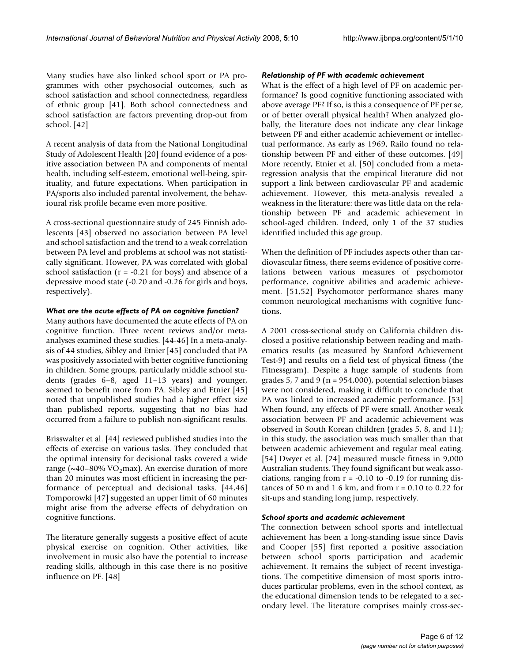Many studies have also linked school sport or PA programmes with other psychosocial outcomes, such as school satisfaction and school connectedness, regardless of ethnic group [41]. Both school connectedness and school satisfaction are factors preventing drop-out from school. [42]

A recent analysis of data from the National Longitudinal Study of Adolescent Health [20] found evidence of a positive association between PA and components of mental health, including self-esteem, emotional well-being, spirituality, and future expectations. When participation in PA/sports also included parental involvement, the behavioural risk profile became even more positive.

A cross-sectional questionnaire study of 245 Finnish adolescents [43] observed no association between PA level and school satisfaction and the trend to a weak correlation between PA level and problems at school was not statistically significant. However, PA was correlated with global school satisfaction ( $r = -0.21$  for boys) and absence of a depressive mood state (-0.20 and -0.26 for girls and boys, respectively).

#### *What are the acute effects of PA on cognitive function?*

Many authors have documented the acute effects of PA on cognitive function. Three recent reviews and/or metaanalyses examined these studies. [44-46] In a meta-analysis of 44 studies, Sibley and Etnier [45] concluded that PA was positively associated with better cognitive functioning in children. Some groups, particularly middle school students (grades 6–8, aged 11–13 years) and younger, seemed to benefit more from PA. Sibley and Etnier [45] noted that unpublished studies had a higher effect size than published reports, suggesting that no bias had occurred from a failure to publish non-significant results.

Brisswalter et al. [44] reviewed published studies into the effects of exercise on various tasks. They concluded that the optimal intensity for decisional tasks covered a wide range ( $\sim$ 40–80% VO<sub>2</sub>max). An exercise duration of more than 20 minutes was most efficient in increasing the performance of perceptual and decisional tasks. [44,46] Tomporowki [47] suggested an upper limit of 60 minutes might arise from the adverse effects of dehydration on cognitive functions.

The literature generally suggests a positive effect of acute physical exercise on cognition. Other activities, like involvement in music also have the potential to increase reading skills, although in this case there is no positive influence on PF. [48]

#### *Relationship of PF with academic achievement*

What is the effect of a high level of PF on academic performance? Is good cognitive functioning associated with above average PF? If so, is this a consequence of PF per se, or of better overall physical health? When analyzed globally, the literature does not indicate any clear linkage between PF and either academic achievement or intellectual performance. As early as 1969, Railo found no relationship between PF and either of these outcomes. [49] More recently, Etnier et al. [50] concluded from a metaregression analysis that the empirical literature did not support a link between cardiovascular PF and academic achievement. However, this meta-analysis revealed a weakness in the literature: there was little data on the relationship between PF and academic achievement in school-aged children. Indeed, only 1 of the 37 studies identified included this age group.

When the definition of PF includes aspects other than cardiovascular fitness, there seems evidence of positive correlations between various measures of psychomotor performance, cognitive abilities and academic achievement. [51,52] Psychomotor performance shares many common neurological mechanisms with cognitive functions.

A 2001 cross-sectional study on California children disclosed a positive relationship between reading and mathematics results (as measured by Stanford Achievement Test-9) and results on a field test of physical fitness (the Fitnessgram). Despite a huge sample of students from grades 5, 7 and 9 ( $n = 954,000$ ), potential selection biases were not considered, making it difficult to conclude that PA was linked to increased academic performance. [53] When found, any effects of PF were small. Another weak association between PF and academic achievement was observed in South Korean children (grades 5, 8, and 11); in this study, the association was much smaller than that between academic achievement and regular meal eating. [54] Dwyer et al. [24] measured muscle fitness in 9,000 Australian students. They found significant but weak associations, ranging from  $r = -0.10$  to  $-0.19$  for running distances of 50 m and 1.6 km, and from  $r = 0.10$  to 0.22 for sit-ups and standing long jump, respectively.

#### *School sports and academic achievement*

The connection between school sports and intellectual achievement has been a long-standing issue since Davis and Cooper [55] first reported a positive association between school sports participation and academic achievement. It remains the subject of recent investigations. The competitive dimension of most sports introduces particular problems, even in the school context, as the educational dimension tends to be relegated to a secondary level. The literature comprises mainly cross-sec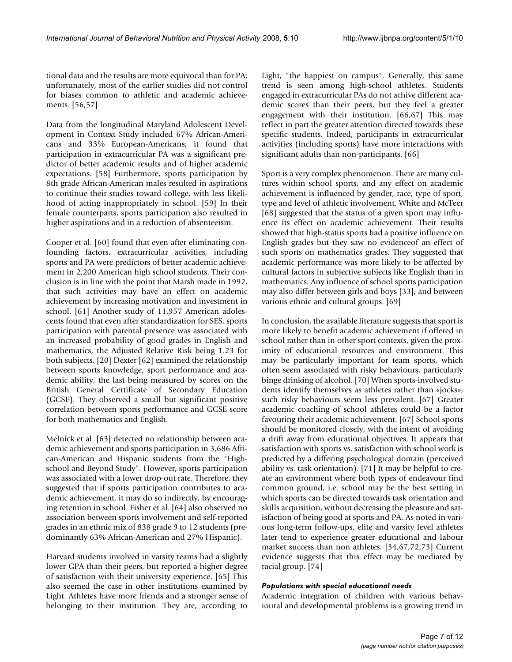tional data and the results are more equivocal than for PA; unfortunately, most of the earlier studies did not control for biases common to athletic and academic achievements. [56,57]

Data from the longitudinal Maryland Adolescent Development in Context Study included 67% African-Americans and 33% European-Americans; it found that participation in extracurricular PA was a significant predictor of better academic results and of higher academic expectations. [58] Furthermore, sports participation by 8th grade African-American males resulted in aspirations to continue their studies toward college, with less likelihood of acting inappropriately in school. [59] In their female counterparts, sports participation also resulted in higher aspirations and in a reduction of absenteeism.

Cooper et al. [60] found that even after eliminating confounding factors, extracurricular activities, including sports and PA were predictors of better academic achievement in 2,200 American high school students. Their conclusion is in line with the point that Marsh made in 1992, that such activities may have an effect on academic achievement by increasing motivation and investment in school. [61] Another study of 11,957 American adolescents found that even after standardization for SES, sports participation with parental presence was associated with an increased probability of good grades in English and mathematics, the Adjusted Relative Risk being 1.23 for both subjects. [20] Dexter [62] examined the relationship between sports knowledge, sport performance and academic ability, the last being measured by scores on the British General Certificate of Secondary Education (GCSE). They observed a small but significant positive correlation between sports performance and GCSE score for both mathematics and English.

Melnick et al. [63] detected no relationship between academic achievement and sports participation in 3,686 African-American and Hispanic students from the "Highschool and Beyond Study". However, sports participation was associated with a lower drop-out rate. Therefore, they suggested that if sports participation contributes to academic achievement, it may do so indirectly, by encouraging retention in school. Fisher et al. [64] also observed no association between sports involvement and self-reported grades in an ethnic mix of 838 grade 9 to 12 students (predominantly 63% African-American and 27% Hispanic).

Harvard students involved in varsity teams had a slightly lower GPA than their peers, but reported a higher degree of satisfaction with their university experience. [65] This also seemed the case in other institutions examined by Light. Athletes have more friends and a stronger sense of belonging to their institution. They are, according to

Light, "the happiest on campus". Generally, this same trend is seen among high-school athletes. Students engaged in extracurricular PAs do not achive different academic scores than their peers, but they feel a greater engagement with their institution. [66,67] This may reflect in part the greater attention directed towards these specific students. Indeed, participants in extracurricular activities (including sports) have more interactions with significant adults than non-participants. [66]

Sport is a very complex phenomenon. There are many cultures within school sports, and any effect on academic achievement is influenced by gender, race, type of sport, type and level of athletic involvement. White and McTeer [68] suggested that the status of a given sport may influence its effect on academic achievement. Their results showed that high-status sports had a positive influence on English grades but they saw no evidenceof an effect of such sports on mathematics grades. They suggested that academic performance was more likely to be affected by cultural factors in subjective subjects like English than in mathematics. Any influence of school sports participation may also differ between girls and boys [33], and between various ethnic and cultural groups. [69]

In conclusion, the available literature suggests that sport is more likely to benefit academic achievement if offered in school rather than in other sport contexts, given the proximity of educational resources and environment. This may be particularly important for team sports, which often seem associated with risky behaviours, particularly binge drinking of alcohol. [70] When sports-involved students identify themselves as athletes rather than «jocks», such risky behaviours seem less prevalent. [67] Greater academic coaching of school athletes could be a factor favouring their academic achievement. [67] School sports should be monitored closely, with the intent of avoiding a drift away from educational objectives. It appears that satisfaction with sports vs. satisfaction with school work is predicted by a differing psychological domain (perceived ability vs. task orientation). [71] It may be helpful to create an environment where both types of endeavour find common ground, i.e. school may be the best setting in which sports can be directed towards task orientation and skills acquisition, without decreasing the pleasure and satisfaction of being good at sports and PA. As noted in various long-term follow-ups, elite and varsity level athletes later tend to experience greater educational and labour market success than non athletes. [34,67,72,73] Current evidence suggests that this effect may be mediated by racial group. [74]

# *Populations with special educational needs*

Academic integration of children with various behavioural and developmental problems is a growing trend in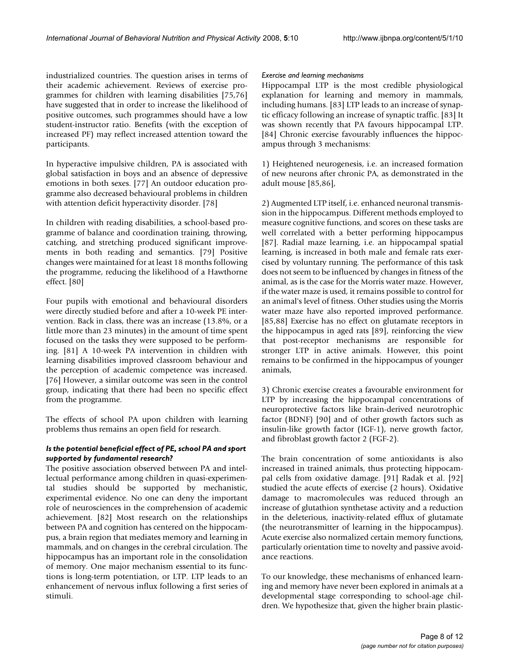industrialized countries. The question arises in terms of their academic achievement. Reviews of exercise programmes for children with learning disabilities [75,76] have suggested that in order to increase the likelihood of positive outcomes, such programmes should have a low student-instructor ratio. Benefits (with the exception of increased PF) may reflect increased attention toward the participants.

In hyperactive impulsive children, PA is associated with global satisfaction in boys and an absence of depressive emotions in both sexes. [77] An outdoor education programme also decreased behavioural problems in children with attention deficit hyperactivity disorder. [78]

In children with reading disabilities, a school-based programme of balance and coordination training, throwing, catching, and stretching produced significant improvements in both reading and semantics. [79] Positive changes were maintained for at least 18 months following the programme, reducing the likelihood of a Hawthorne effect. [80]

Four pupils with emotional and behavioural disorders were directly studied before and after a 10-week PE intervention. Back in class, there was an increase (13.8%, or a little more than 23 minutes) in the amount of time spent focused on the tasks they were supposed to be performing. [81] A 10-week PA intervention in children with learning disabilities improved classroom behaviour and the perception of academic competence was increased. [76] However, a similar outcome was seen in the control group, indicating that there had been no specific effect from the programme.

The effects of school PA upon children with learning problems thus remains an open field for research.

# *Is the potential beneficial effect of PE, school PA and sport supported by fundamental research?*

The positive association observed between PA and intellectual performance among children in quasi-experimental studies should be supported by mechanistic, experimental evidence. No one can deny the important role of neurosciences in the comprehension of academic achievement. [82] Most research on the relationships between PA and cognition has centered on the hippocampus, a brain region that mediates memory and learning in mammals, and on changes in the cerebral circulation. The hippocampus has an important role in the consolidation of memory. One major mechanism essential to its functions is long-term potentiation, or LTP. LTP leads to an enhancement of nervous influx following a first series of stimuli.

# *Exercise and learning mechanisms*

Hippocampal LTP is the most credible physiological explanation for learning and memory in mammals, including humans. [83] LTP leads to an increase of synaptic efficacy following an increase of synaptic traffic. [83] It was shown recently that PA favours hippocampal LTP. [84] Chronic exercise favourably influences the hippocampus through 3 mechanisms:

1) Heightened neurogenesis, i.e. an increased formation of new neurons after chronic PA, as demonstrated in the adult mouse [85,86],

2) Augmented LTP itself, i.e. enhanced neuronal transmission in the hippocampus. Different methods employed to measure cognitive functions, and scores on these tasks are well correlated with a better performing hippocampus [87]. Radial maze learning, i.e. an hippocampal spatial learning, is increased in both male and female rats exercised by voluntary running. The performance of this task does not seem to be influenced by changes in fitness of the animal, as is the case for the Morris water maze. However, if the water maze is used, it remains possible to control for an animal's level of fitness. Other studies using the Morris water maze have also reported improved performance. [85,88] Exercise has no effect on glutamate receptors in the hippocampus in aged rats [89], reinforcing the view that post-receptor mechanisms are responsible for stronger LTP in active animals. However, this point remains to be confirmed in the hippocampus of younger animals,

3) Chronic exercise creates a favourable environment for LTP by increasing the hippocampal concentrations of neuroprotective factors like brain-derived neurotrophic factor (BDNF) [90] and of other growth factors such as insulin-like growth factor (IGF-1), nerve growth factor, and fibroblast growth factor 2 (FGF-2).

The brain concentration of some antioxidants is also increased in trained animals, thus protecting hippocampal cells from oxidative damage. [91] Radak et al. [92] studied the acute effects of exercise (2 hours). Oxidative damage to macromolecules was reduced through an increase of glutathion synthetase activity and a reduction in the deleterious, inactivity-related efflux of glutamate (the neurotransmitter of learning in the hippocampus). Acute exercise also normalized certain memory functions, particularly orientation time to novelty and passive avoidance reactions.

To our knowledge, these mechanisms of enhanced learning and memory have never been explored in animals at a developmental stage corresponding to school-age children. We hypothesize that, given the higher brain plastic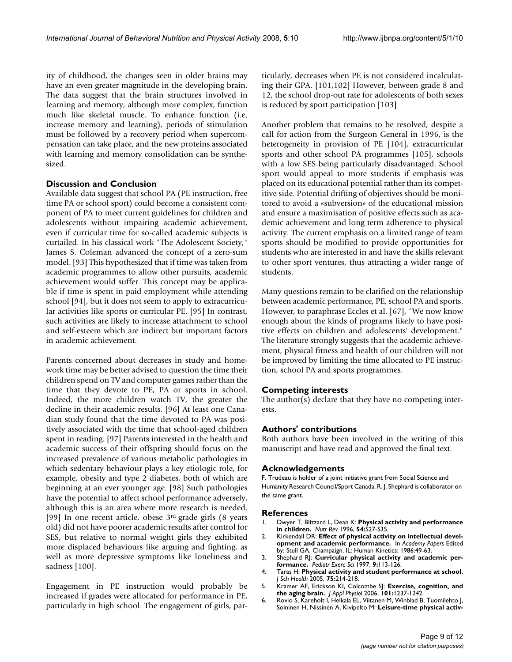ity of childhood, the changes seen in older brains may have an even greater magnitude in the developing brain. The data suggest that the brain structures involved in learning and memory, although more complex, function much like skeletal muscle. To enhance function (i.e. increase memory and learning), periods of stimulation must be followed by a recovery period when supercompensation can take place, and the new proteins associated with learning and memory consolidation can be synthesized.

# **Discussion and Conclusion**

Available data suggest that school PA (PE instruction, free time PA or school sport) could become a consistent component of PA to meet current guidelines for children and adolescents without impairing academic achievement, even if curricular time for so-called academic subjects is curtailed. In his classical work "The Adolescent Society," James S. Coleman advanced the concept of a zero-sum model. [93] This hypothesized that if time was taken from academic programmes to allow other pursuits, academic achievement would suffer. This concept may be applicable if time is spent in paid employment while attending school [94], but it does not seem to apply to extracurricular activities like sports or curricular PE. [95] In contrast, such activities are likely to increase attachment to school and self-esteem which are indirect but important factors in academic achievement.

Parents concerned about decreases in study and homework time may be better advised to question the time their children spend on TV and computer games rather than the time that they devote to PE, PA or sports in school. Indeed, the more children watch TV, the greater the decline in their academic results. [96] At least one Canadian study found that the time devoted to PA was positively associated with the time that school-aged children spent in reading. [97] Parents interested in the health and academic success of their offspring should focus on the increased prevalence of various metabolic pathologies in which sedentary behaviour plays a key etiologic role, for example, obesity and type 2 diabetes, both of which are beginning at an ever younger age. [98] Such pathologies have the potential to affect school performance adversely, although this is an area where more research is needed. [99] In one recent article, obese 3rd grade girls (8 years old) did not have poorer academic results after control for SES, but relative to normal weight girls they exhibited more displaced behaviours like arguing and fighting, as well as more depressive symptoms like loneliness and sadness [100].

Engagement in PE instruction would probably be increased if grades were allocated for performance in PE, particularly in high school. The engagement of girls, particularly, decreases when PE is not considered incalculating their GPA. [101,102] However, between grade 8 and 12, the school drop-out rate for adolescents of both sexes is reduced by sport participation [103]

Another problem that remains to be resolved, despite a call for action from the Surgeon General in 1996, is the heterogeneity in provision of PE [104], extracurricular sports and other school PA programmes [105], schools with a low SES being particularly disadvantaged. School sport would appeal to more students if emphasis was placed on its educational potential rather than its competitive side. Potential drifting of objectives should be monitored to avoid a «subversion» of the educational mission and ensure a maximisation of positive effects such as academic achievement and long term adherence to physical activity. The current emphasis on a limited range of team sports should be modified to provide opportunities for students who are interested in and have the skills relevant to other sport ventures, thus attracting a wider range of students.

Many questions remain to be clarified on the relationship between academic performance, PE, school PA and sports. However, to paraphrase Eccles et al. [67], "We now know enough about the kinds of programs likely to have positive effects on children and adolescents' development." The literature strongly suggests that the academic achievement, physical fitness and health of our children will not be improved by limiting the time allocated to PE instruction, school PA and sports programmes.

# **Competing interests**

The author(s) declare that they have no competing interests.

# **Authors' contributions**

Both authors have been involved in the writing of this manuscript and have read and approved the final text.

# **Acknowledgements**

F. Trudeau is holder of a joint initiative grant from Social Science and Humanity Research Council/Sport Canada. R. J. Shephard is collaborator on the same grant.

# **References**

- 1. Dwyer T, Blizzard L, Dean K: **[Physical activity and performance](http://www.ncbi.nlm.nih.gov/entrez/query.fcgi?cmd=Retrieve&db=PubMed&dopt=Abstract&list_uids=8700449) [in children.](http://www.ncbi.nlm.nih.gov/entrez/query.fcgi?cmd=Retrieve&db=PubMed&dopt=Abstract&list_uids=8700449)** *Nutr Rev* 1996, **54:**S27-S35.
- 2. Kirkendall DR: **Effect of physical activity on intellectual development and academic performance.** In *Academy Papers* Edited by: Stull GA. Champaign, IL: Human Kinetics; 1986:49-63.
- 3. Shephard RJ: **Curricular physical activity and academic performance.** *Pediatr Exerc Sci* 1997, **9:**113-126.
- 4. Taras H: **[Physical activity and student performance at school.](http://www.ncbi.nlm.nih.gov/entrez/query.fcgi?cmd=Retrieve&db=PubMed&dopt=Abstract&list_uids=16014127)** *J Sch Health* 2005, **75:**214-218.
- 5. Kramer AF, Erickson KI, Colcombe SJ: **[Exercise, cognition, and](http://www.ncbi.nlm.nih.gov/entrez/query.fcgi?cmd=Retrieve&db=PubMed&dopt=Abstract&list_uids=16778001) [the aging brain.](http://www.ncbi.nlm.nih.gov/entrez/query.fcgi?cmd=Retrieve&db=PubMed&dopt=Abstract&list_uids=16778001)** *J Appl Physiol* 2006, **101:**1237-1242.
- 6. Rovio S, Kareholt I, Helkala EL, Viitanen M, Winblad B, Tuomilehto J, Soininen H, Nissinen A, Kivipelto M: **[Leisure-time physical activ](http://www.ncbi.nlm.nih.gov/entrez/query.fcgi?cmd=Retrieve&db=PubMed&dopt=Abstract&list_uids=16239176)-**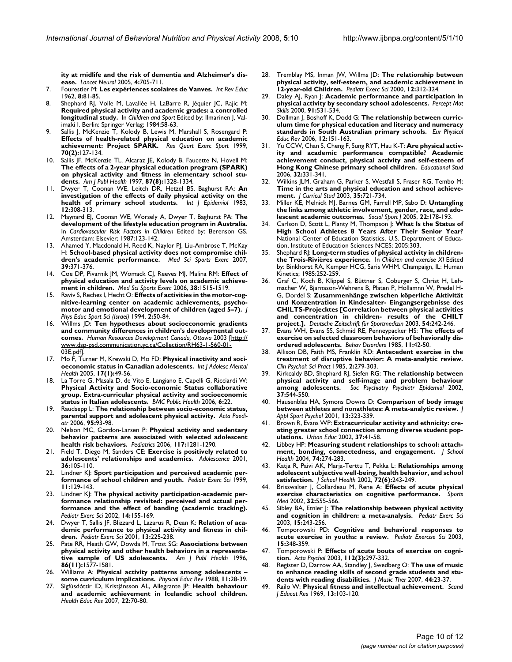**[ity at midlife and the risk of dementia and Alzheimer's dis](http://www.ncbi.nlm.nih.gov/entrez/query.fcgi?cmd=Retrieve&db=PubMed&dopt=Abstract&list_uids=16239176)[ease.](http://www.ncbi.nlm.nih.gov/entrez/query.fcgi?cmd=Retrieve&db=PubMed&dopt=Abstract&list_uids=16239176)** *Lancet Neurol* 2005, **4:**705-711.

- 7. Fourestier M: **Les expériences scolaires de Vanves.** *Int Rev Educ* 1962, **8:**81-85.
- 8. Shephard RJ, Volle M, Lavallée H, LaBarre R, Jéquier JC, Rajic M: **Required physical activity and academic grades: a controlled longitudinal study.** In *Children and Sport* Edited by: Ilmarinen J, Valimaki I. Berlin: Springer Verlag; 1984:58-63.
- Sallis J, McKenzie T, Kolody B, Lewis M, Marshall S, Rosengard P: **[Effects of health-related physical education on academic](http://www.ncbi.nlm.nih.gov/entrez/query.fcgi?cmd=Retrieve&db=PubMed&dopt=Abstract&list_uids=10380244) [achievement: Project SPARK.](http://www.ncbi.nlm.nih.gov/entrez/query.fcgi?cmd=Retrieve&db=PubMed&dopt=Abstract&list_uids=10380244)** *Res Quart Exerc Sport* 1999, **70(2):**127-134.
- 10. Sallis JF, McKenzie TL, Alcaraz JE, Kolody B, Faucette N, Hovell M: **The effects of a 2-year physical education program (SPARK) [on physical activity and fitness in elementary school stu](http://www.ncbi.nlm.nih.gov/entrez/query.fcgi?cmd=Retrieve&db=PubMed&dopt=Abstract&list_uids=9279269)[dents.](http://www.ncbi.nlm.nih.gov/entrez/query.fcgi?cmd=Retrieve&db=PubMed&dopt=Abstract&list_uids=9279269)** *Am J Publ Health* 1997, **87(8):**1328-1334.
- 11. Dwyer T, Coonan WE, Leitch DR, Hetzel BS, Baghurst RA: **[An](http://www.ncbi.nlm.nih.gov/entrez/query.fcgi?cmd=Retrieve&db=PubMed&dopt=Abstract&list_uids=6629620) [investigation of the effects of daily physical activity on the](http://www.ncbi.nlm.nih.gov/entrez/query.fcgi?cmd=Retrieve&db=PubMed&dopt=Abstract&list_uids=6629620) [health of primary school students.](http://www.ncbi.nlm.nih.gov/entrez/query.fcgi?cmd=Retrieve&db=PubMed&dopt=Abstract&list_uids=6629620)** *Int J Epidemiol* 1983, **12:**308-313.
- 12. Maynard EJ, Coonan WE, Worsely A, Dwyer T, Baghurst PA: **The development of the lifestyle education program in Australia.** In *Cardiovascular Risk Factors in Children* Edited by: Berenson GS. Amsterdam: Elsevier; 1987:123-142.
- 13. Ahamed Y, Macdonald H, Reed K, Naylor PJ, Liu-Ambrose T, McKay H: **[School-based physical activity does not compromise chil](http://www.ncbi.nlm.nih.gov/entrez/query.fcgi?cmd=Retrieve&db=PubMed&dopt=Abstract&list_uids=17277603)[dren's academic performance.](http://www.ncbi.nlm.nih.gov/entrez/query.fcgi?cmd=Retrieve&db=PubMed&dopt=Abstract&list_uids=17277603)** *Med Sci Sports Exerc* 2007, **39:**371-376.
- 14. Coe DP, Pivarnik JM, Womack CJ, Reeves MJ, Malina RM: **[Effect of](http://www.ncbi.nlm.nih.gov/entrez/query.fcgi?cmd=Retrieve&db=PubMed&dopt=Abstract&list_uids=16888468) [physical education and activity levels on academic achieve](http://www.ncbi.nlm.nih.gov/entrez/query.fcgi?cmd=Retrieve&db=PubMed&dopt=Abstract&list_uids=16888468)[ment in children.](http://www.ncbi.nlm.nih.gov/entrez/query.fcgi?cmd=Retrieve&db=PubMed&dopt=Abstract&list_uids=16888468)** *Med Sci Sports Exerc* 2006, **38:**1515-1519.
- 15. Raviv S, Reches I, Hecht O: **Effects of activities in the motor-cognitive-learning center on academic achievements, psychomotor and emotional development of children (aged 5–7).** *J Phys Educ Sport Sci (Israel)* 1994, **2:**50-84.
- 16. Willms JD: **Ten hypotheses about socioeconomic gradients and community differences in children's developmental outcomes.** *Human Resources Development Canada, Ottawa* 2003 [[http://](http://www.dsp-psd.communication.gc.ca/Collection/RH63-1-560-01-03E.pdf) [www.dsp-psd.communication.gc.ca/Collection/RH63-1-560-01-](http://www.dsp-psd.communication.gc.ca/Collection/RH63-1-560-01-03E.pdf) [03E.pdf\]](http://www.dsp-psd.communication.gc.ca/Collection/RH63-1-560-01-03E.pdf).
- 17. Mo F, Turner M, Krewski D, Mo FD: **[Physical inactivity and soci](http://www.ncbi.nlm.nih.gov/entrez/query.fcgi?cmd=Retrieve&db=PubMed&dopt=Abstract&list_uids=15900811)[oeconomic status in Canadian adolescents.](http://www.ncbi.nlm.nih.gov/entrez/query.fcgi?cmd=Retrieve&db=PubMed&dopt=Abstract&list_uids=15900811)** *Int J Adolesc Mental Health* 2005, **17(1):**49-56.
- 18. La Torre G, Masala D, de Vito E, Langiano E, Capelli G, Ricciardi W: **Physical Activity and Socio-economic Status collaborative [group. Extra-curricular physical activity and socioeconomic](http://www.ncbi.nlm.nih.gov/entrez/query.fcgi?cmd=Retrieve&db=PubMed&dopt=Abstract&list_uids=16448561) [status in Italian adolescents.](http://www.ncbi.nlm.nih.gov/entrez/query.fcgi?cmd=Retrieve&db=PubMed&dopt=Abstract&list_uids=16448561)** *BMC Public Health* 2006, **6:**22.
- 19. Raudsepp L: **[The relationship between socio-economic status,](http://www.ncbi.nlm.nih.gov/entrez/query.fcgi?cmd=Retrieve&db=PubMed&dopt=Abstract&list_uids=16373303) [parental support and adolescent physical activity.](http://www.ncbi.nlm.nih.gov/entrez/query.fcgi?cmd=Retrieve&db=PubMed&dopt=Abstract&list_uids=16373303)** *Acta Paediatr* 2006, **95:**93-98.
- 20. Nelson MC, Gordon-Larsen P: **[Physical activity and sedentary](http://www.ncbi.nlm.nih.gov/entrez/query.fcgi?cmd=Retrieve&db=PubMed&dopt=Abstract&list_uids=16585325) [behavior patterns are associated with selected adolescent](http://www.ncbi.nlm.nih.gov/entrez/query.fcgi?cmd=Retrieve&db=PubMed&dopt=Abstract&list_uids=16585325) [health risk behaviors.](http://www.ncbi.nlm.nih.gov/entrez/query.fcgi?cmd=Retrieve&db=PubMed&dopt=Abstract&list_uids=16585325)** *Pediatrics* 2006, **117:**1281-1290.
- 21. Field T, Diego M, Sanders CE: **[Exercise is positively related to](http://www.ncbi.nlm.nih.gov/entrez/query.fcgi?cmd=Retrieve&db=PubMed&dopt=Abstract&list_uids=11407627) [adolescents' relationships and academics.](http://www.ncbi.nlm.nih.gov/entrez/query.fcgi?cmd=Retrieve&db=PubMed&dopt=Abstract&list_uids=11407627)** *Adolescence* 2001, **36:**105-110.
- 22. Lindner KJ: **Sport participation and perceived academic performance of school children and youth.** *Pediatr Exerc Sci* 1999, **11:**129-143.
- 23. Lindner KJ: **The physical activity participation-academic performance relationship revisited: perceived and actual performance and the effect of banding (academic tracking).** *Pediatr Exerc Sci* 2002, **14:**155-169.
- 24. Dwyer T, Sallis JF, Blizzard L, Lazarus R, Dean K: **Relation of academic performance to physical activity and fitness in children.** *Pediatr Exerc Sci* 2001, **13:**225-238.
- 25. Pate RR, Heath GW, Dowda M, Trost SG: **[Associations between](http://www.ncbi.nlm.nih.gov/entrez/query.fcgi?cmd=Retrieve&db=PubMed&dopt=Abstract&list_uids=8916523) [physical activity and other health behaviors in a representa](http://www.ncbi.nlm.nih.gov/entrez/query.fcgi?cmd=Retrieve&db=PubMed&dopt=Abstract&list_uids=8916523)[tive sample of US adolescents.](http://www.ncbi.nlm.nih.gov/entrez/query.fcgi?cmd=Retrieve&db=PubMed&dopt=Abstract&list_uids=8916523)** *Am J Publ Health* 1996, **86(11):**1577-1581.
- 26. Williams A: **Physical activity patterns among adolescents – some curriculum implications.** *Physical Educ Rev* 1988, **11:**28-39.
- 27. Sigfúsdóttir ID, Kristjánsson AL, Allegrante JP: **[Health behaviour](http://www.ncbi.nlm.nih.gov/entrez/query.fcgi?cmd=Retrieve&db=PubMed&dopt=Abstract&list_uids=16766605) [and academic achievement in Icelandic school children.](http://www.ncbi.nlm.nih.gov/entrez/query.fcgi?cmd=Retrieve&db=PubMed&dopt=Abstract&list_uids=16766605)** *Health Educ Res* 2007, **22:**70-80.
- 28. Tremblay MS, Inman JW, Willms JD: **The relationship between physical activity, self-esteem, and academic achievement in 12-year-old Children.** *Pediatr Exerc Sci* 2000, **12:**312-324.
- 29. Daley AJ, Ryan J: **[Academic performance and participation in](http://www.ncbi.nlm.nih.gov/entrez/query.fcgi?cmd=Retrieve&db=PubMed&dopt=Abstract&list_uids=11065314) [physical activity by secondary school adolescents.](http://www.ncbi.nlm.nih.gov/entrez/query.fcgi?cmd=Retrieve&db=PubMed&dopt=Abstract&list_uids=11065314)** *Percept Mot Skills* 2000, **91:**531-534.
- 30. Dollman J, Boshoff K, Dodd G: **The relationship between curriculum time for physical education and literacy and numeracy standards in South Australian primary schools.** *Eur Physical Educ Rev* 2006, **12:**151-163.
- 31. Yu CCW, Chan S, Cheng F, Sung RYT, Hau K-T: **Are physical activity and academic performance compatible? Academic achievement conduct, physical activity and self-esteem of Hong Kong Chinese primary school children.** *Educational Stud* 2006, **32:**331-341.
- 32. Wilkins JLM, Graham G, Parker S, Westfall S, Fraser RG, Tembo M: **Time in the arts and physical education and school achievement.** *J Curricul Stud* 2003, **35:**721-734.
- 33. Miller KE, Melnick MJ, Barnes GM, Farrell MP, Sabo D: **[Untangling](http://www.ncbi.nlm.nih.gov/entrez/query.fcgi?cmd=Retrieve&db=PubMed&dopt=Abstract&list_uids=16467902) [the links among athletic involvement, gender, race, and ado](http://www.ncbi.nlm.nih.gov/entrez/query.fcgi?cmd=Retrieve&db=PubMed&dopt=Abstract&list_uids=16467902)[lescent academic outcomes.](http://www.ncbi.nlm.nih.gov/entrez/query.fcgi?cmd=Retrieve&db=PubMed&dopt=Abstract&list_uids=16467902)** *Sociol Sport J* 2005, **22:**178-193.
- 34. Carlson D, Scott L, Planty M, Thompson J: **What Is the Status of High School Athletes 8 Years After Their Senior Year?** National Center of Education Statistics, U.S. Department of Education, Institute of Education Sciences NCES; 2005:303.
- 35. Shephard RJ: **Long-term studies of physical activity in childrenthe Trois-Rivières experience.** In *Children and exercise XI* Edited by: Binkhorst RA, Kemper HCG, Saris WHM. Champaign, IL: Human Kinetics; 1985:252-259.
- 36. Graf C, Koch B, Klippel S, Büttner S, Coburger S, Christ H, Lehmacher W, Bjarnason-Wehrens B, Platen P, Hollamnn W, Predel H-G, Dordel S: **Zusammenhänge zwischen köperliche Aktivität und Konzentration in Kindesalter- Eingangsergebnisse des CHILTS-Projecktes [Correlation between physical activities and concentration in children- results of the CHILT project.].** *Deutsche Zeitschrift für Sportmedizin* 2003, **54:**242-246.
- 37. Evans WH, Evans SS, Schmid RE, Penneypacker HS: **The effects of exercise on selected classroom behaviors of behaviorally disordered adolescents.** *Behav Disorders* 1985, **11:**42-50.
- 38. Allison DB, Faith MS, Franklin RD: **Antecedent exercise in the treatment of disruptive behavior: A meta-analytic review.** *Clin Psychol: Sci Pract* 1985, **2:**279-303.
- 39. Kirkcaldy BD, Shephard RJ, Siefen RG: **[The relationship between](http://www.ncbi.nlm.nih.gov/entrez/query.fcgi?cmd=Retrieve&db=PubMed&dopt=Abstract&list_uids=12395145) [physical activity and self-image and problem behaviour](http://www.ncbi.nlm.nih.gov/entrez/query.fcgi?cmd=Retrieve&db=PubMed&dopt=Abstract&list_uids=12395145) [among adolescents.](http://www.ncbi.nlm.nih.gov/entrez/query.fcgi?cmd=Retrieve&db=PubMed&dopt=Abstract&list_uids=12395145)** *Soc Psychiatry Psychiatr Epidemiol* 2002, **37:**544-550.
- 40. Hausenblas HA, Symons Downs D: **Comparison of body image between athletes and nonathletes: A meta-analytic review.** *J Appl Sport Psychol* 2001, **13:**323-339.
- 41. Brown R, Evans WP: **Extracurricular activity and ethnicity: creating greater school connection among diverse student populations.** *Urban Educ* 2002, **37:**41-58.
- 42. Libbey HP: **[Measuring student relationships to school: attach](http://www.ncbi.nlm.nih.gov/entrez/query.fcgi?cmd=Retrieve&db=PubMed&dopt=Abstract&list_uids=15493704)[ment, bonding, connectedness, and engagement.](http://www.ncbi.nlm.nih.gov/entrez/query.fcgi?cmd=Retrieve&db=PubMed&dopt=Abstract&list_uids=15493704)** *J School Health* 2004, **74:**274-283.
- 43. Katja R, Paivi AK, Marja-Terttu T, Pekka L: **[Relationships among](http://www.ncbi.nlm.nih.gov/entrez/query.fcgi?cmd=Retrieve&db=PubMed&dopt=Abstract&list_uids= 12212409 ) [adolescent subjective well-being, health behavior, and school](http://www.ncbi.nlm.nih.gov/entrez/query.fcgi?cmd=Retrieve&db=PubMed&dopt=Abstract&list_uids= 12212409 ) [satisfaction.](http://www.ncbi.nlm.nih.gov/entrez/query.fcgi?cmd=Retrieve&db=PubMed&dopt=Abstract&list_uids= 12212409 )** *J School Health* 2002, **72(6):**243-249.
- 44. Brisswalter J, Collardeau M, Rene A: **[Effects of acute physical](http://www.ncbi.nlm.nih.gov/entrez/query.fcgi?cmd=Retrieve&db=PubMed&dopt=Abstract&list_uids=12096929) [exercise characteristics on cognitive performance.](http://www.ncbi.nlm.nih.gov/entrez/query.fcgi?cmd=Retrieve&db=PubMed&dopt=Abstract&list_uids=12096929)** *Sports Med* 2002, **32:**555-566.
- 45. Sibley BA, Etnier J: **The relationship between physical activity and cognition in children: a meta-analysis.** *Pediatr Exerc Sci* 2003, **15:**243-256.
- 46. Tomporowski PD: **Cognitive and behavioral responses to acute exercise in youths: a review.** *Pediatr Exercise Sci* 2003, **15:**348-359.
- 47. Tomporowski P: **[Effects of acute bouts of exercise on cogni](http://www.ncbi.nlm.nih.gov/entrez/query.fcgi?cmd=Retrieve&db=PubMed&dopt=Abstract&list_uids=12595152)[tion.](http://www.ncbi.nlm.nih.gov/entrez/query.fcgi?cmd=Retrieve&db=PubMed&dopt=Abstract&list_uids=12595152)** *Acta Psychol* 2003, **112(3):**297-332.
- 48. Register D, Darrow AA, Standley J, Swedberg O: **[The use of music](http://www.ncbi.nlm.nih.gov/entrez/query.fcgi?cmd=Retrieve&db=PubMed&dopt=Abstract&list_uids=17419662) [to enhance reading skills of second grade students and stu](http://www.ncbi.nlm.nih.gov/entrez/query.fcgi?cmd=Retrieve&db=PubMed&dopt=Abstract&list_uids=17419662)[dents with reading disabilities.](http://www.ncbi.nlm.nih.gov/entrez/query.fcgi?cmd=Retrieve&db=PubMed&dopt=Abstract&list_uids=17419662)** *J Music Ther* 2007, **44:**23-37.
- 49. Railo W: **Physical fitness and intellectual achievement.** *Scand J Educat Res* 1969, **13:**103-120.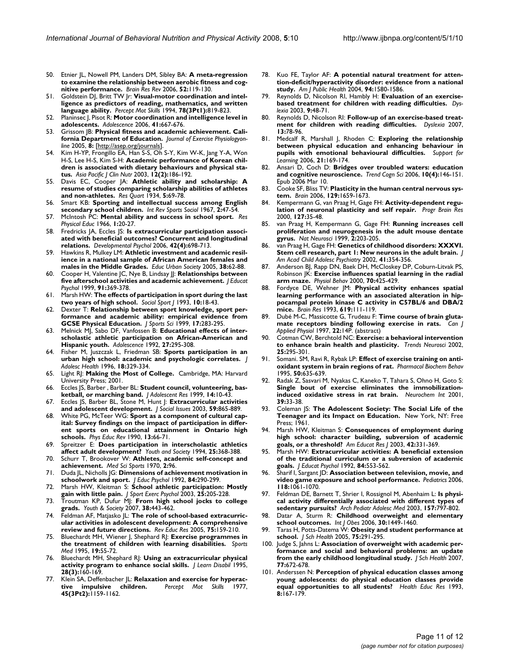- 50. Etnier JL, Nowell PM, Landers DM, Sibley BA: **[A meta-regression](http://www.ncbi.nlm.nih.gov/entrez/query.fcgi?cmd=Retrieve&db=PubMed&dopt=Abstract&list_uids=16490256) [to examine the relationship between aerobic fitness and cog](http://www.ncbi.nlm.nih.gov/entrez/query.fcgi?cmd=Retrieve&db=PubMed&dopt=Abstract&list_uids=16490256)[nitive performance.](http://www.ncbi.nlm.nih.gov/entrez/query.fcgi?cmd=Retrieve&db=PubMed&dopt=Abstract&list_uids=16490256)** *Brain Res Rev* 2006, **52:**119-130.
- Goldstein DJ, Britt TW Jr: [Visual-motor coordination and intel](http://www.ncbi.nlm.nih.gov/entrez/query.fcgi?cmd=Retrieve&db=PubMed&dopt=Abstract&list_uids=8084697)**[ligence as predictors of reading, mathematics, and written](http://www.ncbi.nlm.nih.gov/entrez/query.fcgi?cmd=Retrieve&db=PubMed&dopt=Abstract&list_uids=8084697) [language ability.](http://www.ncbi.nlm.nih.gov/entrez/query.fcgi?cmd=Retrieve&db=PubMed&dopt=Abstract&list_uids=8084697)** *Percept Mot Skills* 1994, **78(3Pt1):**819-823.
- 52. Planinsec J, Pisot R: **[Motor coordination and intelligence level in](http://www.ncbi.nlm.nih.gov/entrez/query.fcgi?cmd=Retrieve&db=PubMed&dopt=Abstract&list_uids=17240773) [adolescents.](http://www.ncbi.nlm.nih.gov/entrez/query.fcgi?cmd=Retrieve&db=PubMed&dopt=Abstract&list_uids=17240773)** *Adolescence* 2006, **41:**667-676.
- Grissom JB: Physical fitness and academic achievement. Cali**fornia Department of Education.** *Journal of Exercise Physiologyonline* 2005, **8:** [\[http://asep.org/journals](http://asep.org/journals)].
- 54. Kim H-YP, Frongillo EA, Han S-S, Oh S-Y, Kim W-K, Jang Y-A, Won H-S, Lee H-S, Kim S-H: **[Academic performance of Korean chil](http://www.ncbi.nlm.nih.gov/entrez/query.fcgi?cmd=Retrieve&db=PubMed&dopt=Abstract&list_uids=12810409 )[dren is associated with dietary behaviours and physical sta](http://www.ncbi.nlm.nih.gov/entrez/query.fcgi?cmd=Retrieve&db=PubMed&dopt=Abstract&list_uids=12810409 )[tus.](http://www.ncbi.nlm.nih.gov/entrez/query.fcgi?cmd=Retrieve&db=PubMed&dopt=Abstract&list_uids=12810409 )** *Asia Pacific J Clin Nutr* 2003, **12(2):**186-192.
- 55. Davis EC, Cooper JA: **Athletic ability and scholarship: A resume of studies comparing scholarship abilities of athletes and non-athletes.** *Res Quart* 1934, **5:**69-78.
- 56. Smart KB: **Sporting and intellectual success among English secondary school children.** *Int Rev Sports Sociol* 1967, **2:**47-54.
- 57. McIntosh PC: **Mental ability and success in school sport.** *Res Physical Educ* 1966, **1:**20-27.
- 58. Fredricks JA, Eccles JS: **[Is extracurricular participation associ](http://www.ncbi.nlm.nih.gov/entrez/query.fcgi?cmd=Retrieve&db=PubMed&dopt=Abstract&list_uids=16802902)[ated with beneficial outcomes? Concurrent and longitudinal](http://www.ncbi.nlm.nih.gov/entrez/query.fcgi?cmd=Retrieve&db=PubMed&dopt=Abstract&list_uids=16802902) [relations.](http://www.ncbi.nlm.nih.gov/entrez/query.fcgi?cmd=Retrieve&db=PubMed&dopt=Abstract&list_uids=16802902)** *Developmental Psychol* 2006, **42(4):**698-713.
- 59. Hawkins R, Mulkey LM: **Athletic investment and academic resilience in a national sample of African American females and males in the Middle Grades.** *Educ Urban Society* 2005, **38:**62-88.
- 60. Cooper H, Valentine JC, Nye B, Lindsay JJ: **Relationships between five afterschool activities and academic achievement.** *J Educat Psychol* 1999, **91:**369-378.
- 61. Marsh HW: **The effects of participation in sport during the last two years of high school.** *Sociol Sport J* 1993, **10:**18-43.
- 62. Dexter T: **[Relationship between sport knowledge, sport per](http://www.ncbi.nlm.nih.gov/entrez/query.fcgi?cmd=Retrieve&db=PubMed&dopt=Abstract&list_uids=10373038)[formance and academic ability: empirical evidence from](http://www.ncbi.nlm.nih.gov/entrez/query.fcgi?cmd=Retrieve&db=PubMed&dopt=Abstract&list_uids=10373038) [GCSE Physical Education.](http://www.ncbi.nlm.nih.gov/entrez/query.fcgi?cmd=Retrieve&db=PubMed&dopt=Abstract&list_uids=10373038)** *J Sports Sci* 1999, **17:**283-295.
- 63. Melnick MJ, Sabo DF, Vanfossen B: **[Educational effects of inter](http://www.ncbi.nlm.nih.gov/entrez/query.fcgi?cmd=Retrieve&db=PubMed&dopt=Abstract&list_uids=1621561)[scholastic athletic participation on African-American and](http://www.ncbi.nlm.nih.gov/entrez/query.fcgi?cmd=Retrieve&db=PubMed&dopt=Abstract&list_uids=1621561) [Hispanic youth.](http://www.ncbi.nlm.nih.gov/entrez/query.fcgi?cmd=Retrieve&db=PubMed&dopt=Abstract&list_uids=1621561)** *Adolescence* 1992, **27:**295-308.
- 64. Fisher M, Juszczak L, Friedman SB: **[Sports participation in an](http://www.ncbi.nlm.nih.gov/entrez/query.fcgi?cmd=Retrieve&db=PubMed&dopt=Abstract&list_uids=9156545) [urban high school: academic and psychologic correlates.](http://www.ncbi.nlm.nih.gov/entrez/query.fcgi?cmd=Retrieve&db=PubMed&dopt=Abstract&list_uids=9156545)** *J Adolesc Health* 1996, **18:**329-334.
- 65. Light RJ: **Making the Most of College.** Cambridge, MA: Harvard University Press; 2001.
- 66. Eccles JS, Barber , Barber BL: **Student council, volunteering, basketball, or marching band.** *J Adolescent Res* 1999, **14:**10-43.
- 67. Eccles JS, Barber BL, Stone M, Hunt J: **Extracurricular activities and adolescent development.** *J Social Issues* 2003, **59:**865-889.
- 68. White PG, McTeer WG: **Sport as a component of cultural capital: Survey findings on the impact of participation in different sports on educational attainment in Ontario high schools.** *Phys Educ Rev* 1990, **13:**66-71.
- 69. Spreitzer E: **Does participation in interscholastic athletics affect adult development?** *Youth and Society* 1994, **25:**368-388.
- 70. Schurr T, Brookover W: **[Athletes, academic self-concept and](http://www.ncbi.nlm.nih.gov/entrez/query.fcgi?cmd=Retrieve&db=PubMed&dopt=Abstract&list_uids=5521082) [achievement.](http://www.ncbi.nlm.nih.gov/entrez/query.fcgi?cmd=Retrieve&db=PubMed&dopt=Abstract&list_uids=5521082)** *Med Sci Sports* 1970, **2:**96.
- 71. Duda JL, Nicholls JG: **Dimensions of achievement motivation in schoolwork and sport.** *J Educ Psychol* 1992, **84:**290-299.
- 72. Marsh HW, Kleitman S: **School athletic participation: Mostly gain with little pain.** *J Sport Exerc Psychol* 2003, **25:**205-228.
- 73. Troutman KP, Dufur MJ: **From high school jocks to college grads.** *Youth & Society* 2007, **38:**443-462.
- 74. Feldman AF, Matjasko JL: **The role of school-based extracurricular activities in adolescent development: A comprehensive review and future directions.** *Rev Educ Res* 2005, **75:**159-210.
- 75. Bluechardt MH, Wiener J, Shephard RJ: **[Exercise programmes in](http://www.ncbi.nlm.nih.gov/entrez/query.fcgi?cmd=Retrieve&db=PubMed&dopt=Abstract&list_uids=7740247) [the treatment of children with learning disabilities.](http://www.ncbi.nlm.nih.gov/entrez/query.fcgi?cmd=Retrieve&db=PubMed&dopt=Abstract&list_uids=7740247)** *Sports Med* 1995, **19:**55-72.
- 76. Bluechardt MH, Shephard RJ: **[Using an extracurricular physical](http://www.ncbi.nlm.nih.gov/entrez/query.fcgi?cmd=Retrieve&db=PubMed&dopt=Abstract&list_uids=7699303) [activity program to enhance social skills.](http://www.ncbi.nlm.nih.gov/entrez/query.fcgi?cmd=Retrieve&db=PubMed&dopt=Abstract&list_uids=7699303)** *J Learn Disabil* 1995, **28(3):**160-169.
- 77. Klein SA, Deffenbacher JL: **Relaxation and exercise for hyperac-**<br> **tive impulsive children.** Percept Mot Skills 1977, [tive impulsive children.](http://www.ncbi.nlm.nih.gov/entrez/query.fcgi?cmd=Retrieve&db=PubMed&dopt=Abstract&list_uids=343062) **45(3Pt2):**1159-1162.
- 78. Kuo FE, Taylor AF: **[A potential natural treatment for atten](http://www.ncbi.nlm.nih.gov/entrez/query.fcgi?cmd=Retrieve&db=PubMed&dopt=Abstract&list_uids=15333318)[tion-deficit/hyperactivity disorder: evidence from a national](http://www.ncbi.nlm.nih.gov/entrez/query.fcgi?cmd=Retrieve&db=PubMed&dopt=Abstract&list_uids=15333318) [study.](http://www.ncbi.nlm.nih.gov/entrez/query.fcgi?cmd=Retrieve&db=PubMed&dopt=Abstract&list_uids=15333318)** *Am J Public Health* 2004, **94:**1580-1586.
- 79. Reynolds D, Nicolson RI, Hambly H: **[Evaluation of an exercise](http://www.ncbi.nlm.nih.gov/entrez/query.fcgi?cmd=Retrieve&db=PubMed&dopt=Abstract&list_uids=12625376)[based treatment for children with reading difficulties.](http://www.ncbi.nlm.nih.gov/entrez/query.fcgi?cmd=Retrieve&db=PubMed&dopt=Abstract&list_uids=12625376)** *Dyslexia* 2003, **9:**48-71.
- 80. Reynolds D, Nicolson RI: **[Follow-up of an exercise-based treat](http://www.ncbi.nlm.nih.gov/entrez/query.fcgi?cmd=Retrieve&db=PubMed&dopt=Abstract&list_uids=17557685)[ment for children with reading difficulties.](http://www.ncbi.nlm.nih.gov/entrez/query.fcgi?cmd=Retrieve&db=PubMed&dopt=Abstract&list_uids=17557685)** *Dyslexia* 2007, **13:**78-96.
- 81. Medcalf R, Marshall J, Rhoden C: **Exploring the relationship between physical education and enhancing behaviour in pupils with emotional behavioural difficulties.** *Support for Learning* 2006, **21:**169-174.
- 82. Ansari D, Coch D: **[Bridges over troubled waters: education](http://www.ncbi.nlm.nih.gov/entrez/query.fcgi?cmd=Retrieve&db=PubMed&dopt=Abstract&list_uids=16530462) [and cognitive neuroscience.](http://www.ncbi.nlm.nih.gov/entrez/query.fcgi?cmd=Retrieve&db=PubMed&dopt=Abstract&list_uids=16530462)** *Trend Cogn Sci* 2006, **10(4):**146-151. Epub 2006 Mar 10.
- 83. Cooke SF, Bliss TV: **[Plasticity in the human central nervous sys](http://www.ncbi.nlm.nih.gov/entrez/query.fcgi?cmd=Retrieve&db=PubMed&dopt=Abstract&list_uids=16672292)[tem.](http://www.ncbi.nlm.nih.gov/entrez/query.fcgi?cmd=Retrieve&db=PubMed&dopt=Abstract&list_uids=16672292)** *Brain* 2006, **129:**1659-1673.
- 84. Kempermann G, van Praag H, Gage FH: **[Activity-dependent regu](http://www.ncbi.nlm.nih.gov/entrez/query.fcgi?cmd=Retrieve&db=PubMed&dopt=Abstract&list_uids=11142036)[lation of neuronal plasticity and self repair.](http://www.ncbi.nlm.nih.gov/entrez/query.fcgi?cmd=Retrieve&db=PubMed&dopt=Abstract&list_uids=11142036)** *Progr Brain Res* 2000, **127:**35-48.
- 85. van Praag H, Kempermann G, Gage FH: **[Running increases cell](http://www.ncbi.nlm.nih.gov/entrez/query.fcgi?cmd=Retrieve&db=PubMed&dopt=Abstract&list_uids=10195209) [proliferation and neurogenesis in the adult mouse dentate](http://www.ncbi.nlm.nih.gov/entrez/query.fcgi?cmd=Retrieve&db=PubMed&dopt=Abstract&list_uids=10195209) [gyrus.](http://www.ncbi.nlm.nih.gov/entrez/query.fcgi?cmd=Retrieve&db=PubMed&dopt=Abstract&list_uids=10195209)** *Nat Neurosci* 1999, **2:**203-205.
- 86. van Praag H, Gage FH: **[Genetics of childhood disorders: XXXVI.](http://www.ncbi.nlm.nih.gov/entrez/query.fcgi?cmd=Retrieve&db=PubMed&dopt=Abstract&list_uids=11886031) [Stem cell research, part 1: New neurons in the adult brain.](http://www.ncbi.nlm.nih.gov/entrez/query.fcgi?cmd=Retrieve&db=PubMed&dopt=Abstract&list_uids=11886031)** *J Am Acad Child Adolesc Psychiatry* 2002, **41:**354-356.
- 87. Anderson BJ, Rapp DN, Baek DH, McCloskey DP, Coburn-Litvak PS, Robinson JK: **[Exercise influences spatial learning in the radial](http://www.ncbi.nlm.nih.gov/entrez/query.fcgi?cmd=Retrieve&db=PubMed&dopt=Abstract&list_uids=11110995) [arm maze.](http://www.ncbi.nlm.nih.gov/entrez/query.fcgi?cmd=Retrieve&db=PubMed&dopt=Abstract&list_uids=11110995)** *Physiol Behav* 2000, **70:**425-429.
- 88. Fordyce DE, Wehner JM: **[Physical activity enhances spatial](http://www.ncbi.nlm.nih.gov/entrez/query.fcgi?cmd=Retrieve&db=PubMed&dopt=Abstract&list_uids=8374769) learning performance with an associated alteration in hip[pocampal protein kinase C activity in C57BL/6 and DBA/2](http://www.ncbi.nlm.nih.gov/entrez/query.fcgi?cmd=Retrieve&db=PubMed&dopt=Abstract&list_uids=8374769) [mice.](http://www.ncbi.nlm.nih.gov/entrez/query.fcgi?cmd=Retrieve&db=PubMed&dopt=Abstract&list_uids=8374769)** *Brain Res* 1993, **619:**111-119.
- 89. Dubé M-C, Massicotte G, Trudeau F: **Time course of brain glutamate receptors binding following exercise in rats.** *Can J Applied Physiol* 1997, **22:**14P. (abstract)
- 90. Cotman CW, Berchtold NC: **[Exercise: a behavioral intervention](http://www.ncbi.nlm.nih.gov/entrez/query.fcgi?cmd=Retrieve&db=PubMed&dopt=Abstract&list_uids=12086747) [to enhance brain health and plasticity.](http://www.ncbi.nlm.nih.gov/entrez/query.fcgi?cmd=Retrieve&db=PubMed&dopt=Abstract&list_uids=12086747)** *Trends Neurosci* 2002, **25:**295-301.
- 91. Somani. SM, Ravi R, Rybak LP: **[Effect of exercise training on anti](http://www.ncbi.nlm.nih.gov/entrez/query.fcgi?cmd=Retrieve&db=PubMed&dopt=Abstract&list_uids=7617712)[oxidant system in brain regions of rat.](http://www.ncbi.nlm.nih.gov/entrez/query.fcgi?cmd=Retrieve&db=PubMed&dopt=Abstract&list_uids=7617712)** *Pharmacol Biochem Behav* 1995, **50:**635-639.
- 92. Radak Z, Sasvari M, Nyakas C, Kaneko T, Tahara S, Ohno H, Goto S: **[Single bout of exercise eliminates the immobilization](http://www.ncbi.nlm.nih.gov/entrez/query.fcgi?cmd=Retrieve&db=PubMed&dopt=Abstract&list_uids=11311447)[induced oxidative stress in rat brain.](http://www.ncbi.nlm.nih.gov/entrez/query.fcgi?cmd=Retrieve&db=PubMed&dopt=Abstract&list_uids=11311447)** *Neurochem Int* 2001, **39:**33-38.
- 93. Coleman JS: **The Adolescent Society: The Social Life of the Teenager and its Impact on Education.** New York, NY: Free Press; 1961.
- 94. Marsh HW, Kleitman S: **Consequences of employment during high school: character building, subversion of academic goals, or a threshold?** *Am Educat Res J* 2003, **42:**331-369.
- 95. Marsh HW: **Extracurricular activities: A beneficial extension of the traditional curriculum or a subversion of academic goals.** *J Educat Psychol* 1992, **84:**553-562.
- 96. Sharif I, Sargant JD: **Association between television, movie, and video game exposure and school performance.** *Pediatrics* 2006, **118:**1061-1070.
- 97. Feldman DE, Barnett T, Shrier I, Rossignol M, Abenhaim L: **[Is physi](http://www.ncbi.nlm.nih.gov/entrez/query.fcgi?cmd=Retrieve&db=PubMed&dopt=Abstract&list_uids=12912786)[cal activity differentially associated with different types of](http://www.ncbi.nlm.nih.gov/entrez/query.fcgi?cmd=Retrieve&db=PubMed&dopt=Abstract&list_uids=12912786) [sedentary pursuits?](http://www.ncbi.nlm.nih.gov/entrez/query.fcgi?cmd=Retrieve&db=PubMed&dopt=Abstract&list_uids=12912786)** *Arch Pediatr Adolesc Med* 2003, **157:**797-802.
- 98. Datar A, Sturm R: **Childhood overweight and elementary school outcomes.** *Int J Obes* 2006, **30:**1449-1460.
- 99. Taras H, Potts-Datema W: **[Obesity and student performance at](http://www.ncbi.nlm.nih.gov/entrez/query.fcgi?cmd=Retrieve&db=PubMed&dopt=Abstract&list_uids=16179079) [school.](http://www.ncbi.nlm.nih.gov/entrez/query.fcgi?cmd=Retrieve&db=PubMed&dopt=Abstract&list_uids=16179079)** *J Sch Health* 2005, **75:**291-295.
- 100. Judge S, Jahns L: **[Association of overweight with academic per](http://www.ncbi.nlm.nih.gov/entrez/query.fcgi?cmd=Retrieve&db=PubMed&dopt=Abstract&list_uids=18076412)[formance and social and behavioral problems: an update](http://www.ncbi.nlm.nih.gov/entrez/query.fcgi?cmd=Retrieve&db=PubMed&dopt=Abstract&list_uids=18076412) [from the early childhood longitudinal study.](http://www.ncbi.nlm.nih.gov/entrez/query.fcgi?cmd=Retrieve&db=PubMed&dopt=Abstract&list_uids=18076412)** *J Sch Health* 2007, **77:**672-678.
- 101. Anderssen N: **[Perception of physical education classes among](http://www.ncbi.nlm.nih.gov/entrez/query.fcgi?cmd=Retrieve&db=PubMed&dopt=Abstract&list_uids=10148826) [young adolescents: do physical education classes provide](http://www.ncbi.nlm.nih.gov/entrez/query.fcgi?cmd=Retrieve&db=PubMed&dopt=Abstract&list_uids=10148826) [equal opportunities to all students?](http://www.ncbi.nlm.nih.gov/entrez/query.fcgi?cmd=Retrieve&db=PubMed&dopt=Abstract&list_uids=10148826)** *Health Educ Res* 1993, **8:**167-179.